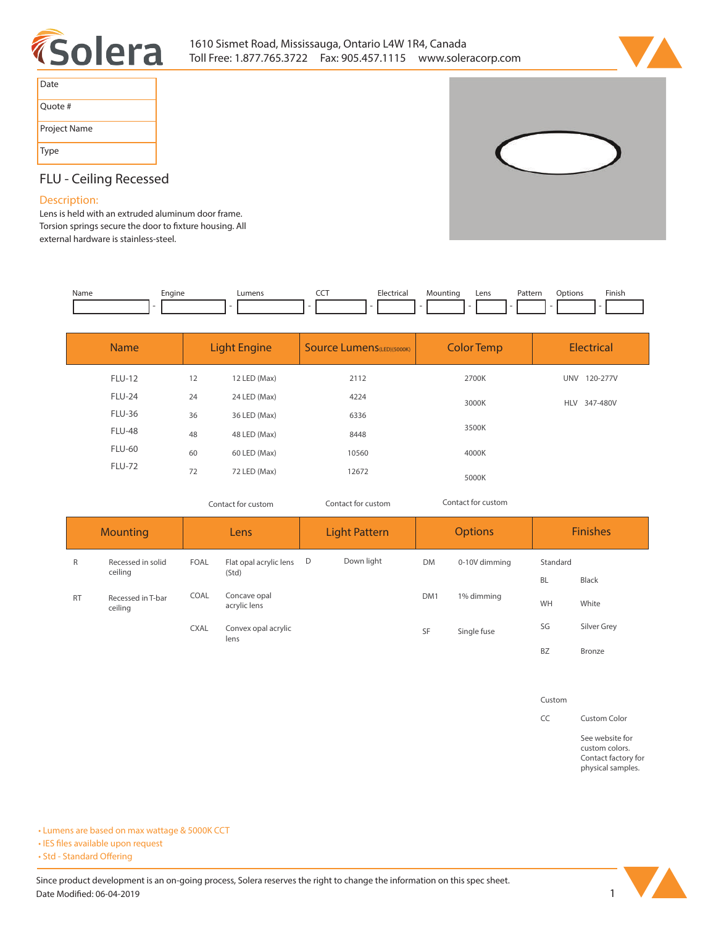



| Date         |
|--------------|
| Quote #      |
| Project Name |
| <b>Type</b>  |



# **FLU - Ceiling Recessed**

## **Description:**

**Lens is held with an extruded aluminum door frame.**  Torsion springs secure the door to fixture housing. All **external hardware is stainless-steel.** 

| Name | :naine | umen | $- - -$ | ıntin | Lens | Pattern | Option <sub>c</sub> | Finish |
|------|--------|------|---------|-------|------|---------|---------------------|--------|
|      |        |      |         |       |      | .       |                     |        |
|      |        |      |         |       |      |         |                     |        |

| <b>Name</b>   | <b>Light Engine</b> |              | <b>Source Lumens</b> (LED)(5000K) | <b>Color Temp</b> | <b>Electrical</b>      |  |
|---------------|---------------------|--------------|-----------------------------------|-------------------|------------------------|--|
| <b>FLU-12</b> | 12                  | 12 LED (Max) | 2112                              | 2700K             | <b>UNV</b><br>120-277V |  |
| <b>FLU-24</b> | 24                  | 24 LED (Max) | 4224                              | 3000K             | HLV 347-480V           |  |
| <b>FLU-36</b> | 36                  | 36 LED (Max) | 6336                              |                   |                        |  |
| <b>FLU-48</b> | 48                  | 48 LED (Max) | 8448                              | 3500K             |                        |  |
| <b>FLU-60</b> | 60                  | 60 LED (Max) | 10560                             | 4000K             |                        |  |
| <b>FLU-72</b> | 72                  | 72 LED (Max) | 12672                             | 5000K             |                        |  |

*Contact for custom Contact for custom*

*Contact for custom*

| <b>Mounting</b> |                              | Lens        |                              | <b>Light Pattern</b> |            | <b>Options</b>  |               | <b>Finishes</b> |             |
|-----------------|------------------------------|-------------|------------------------------|----------------------|------------|-----------------|---------------|-----------------|-------------|
| R               | Recessed in solid<br>ceiling | <b>FOAL</b> | Flat opal acrylic lens       | D                    | Down light | <b>DM</b>       | 0-10V dimming | Standard        |             |
|                 |                              |             | (Std)                        |                      |            |                 |               | <b>BL</b>       | Black       |
| <b>RT</b>       | Recessed in T-bar<br>ceiling | COAL        | Concave opal<br>acrylic lens |                      |            | DM <sub>1</sub> | 1% dimming    | WH              | White       |
|                 |                              | <b>CXAL</b> | Convex opal acrylic<br>lens  |                      |            | SF              | Single fuse   | SG              | Silver Grey |
|                 |                              |             |                              |                      |            |                 | <b>BZ</b>     | Bronze          |             |

**Custom**

**CC Custom Color**

**See website for custom colors. Contact factory for physical samples.** 

**• Lumens are based on max wattage & 5000K CCT**

**• IES files available upon request** 

• Std - Standard Offering

Since product development is an on-going process, Solera reserves the right to change the information on this spec sheet. **Date Modified: 06-04-2019** 1